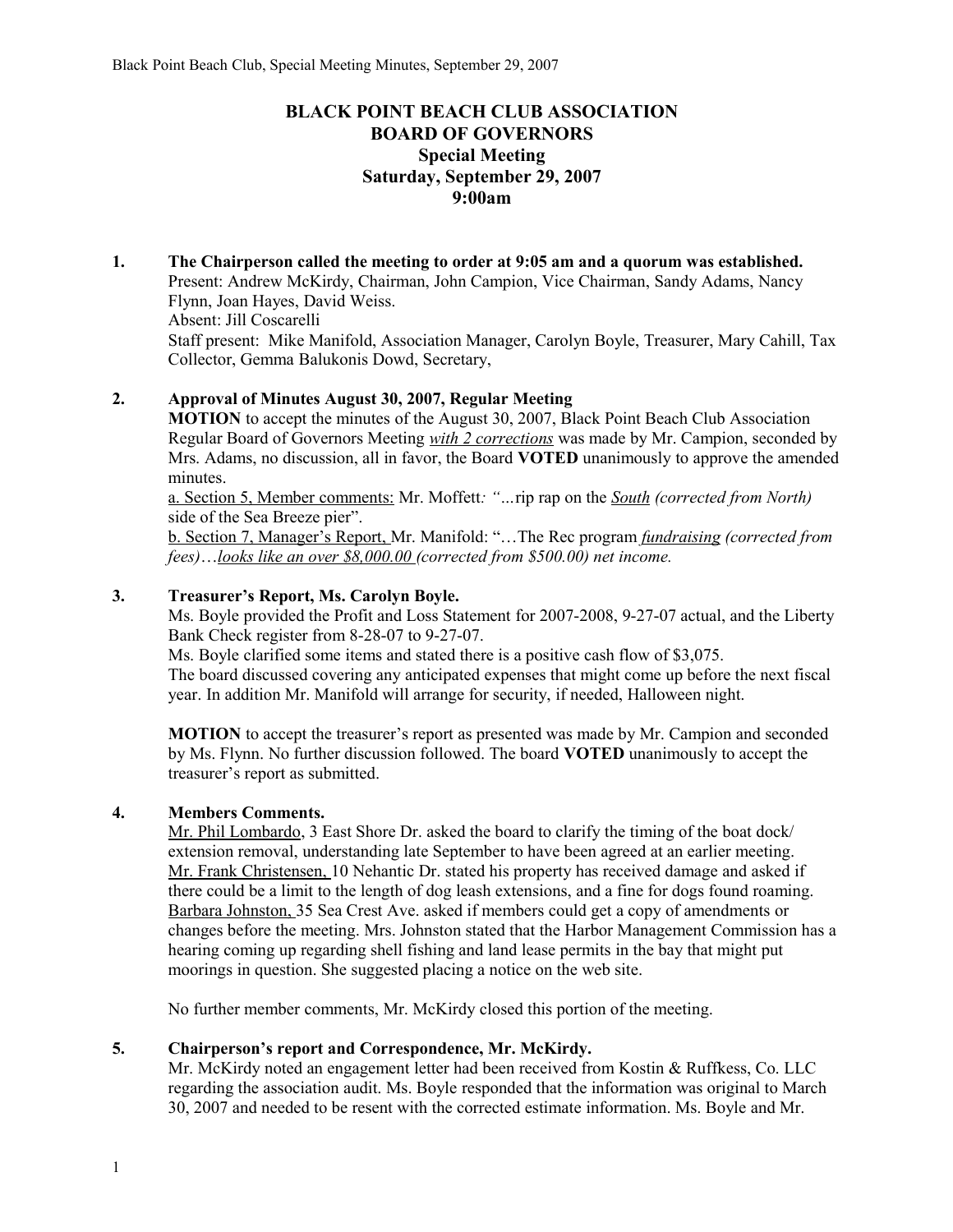# **BLACK POINT BEACH CLUB ASSOCIATION BOARD OF GOVERNORS Special Meeting Saturday, September 29, 2007 9:00am**

**1. The Chairperson called the meeting to order at 9:05 am and a quorum was established.**  Present: Andrew McKirdy, Chairman, John Campion, Vice Chairman, Sandy Adams, Nancy Flynn, Joan Hayes, David Weiss. Absent: Jill Coscarelli Staff present: Mike Manifold, Association Manager, Carolyn Boyle, Treasurer, Mary Cahill, Tax Collector, Gemma Balukonis Dowd, Secretary,

### **2. Approval of Minutes August 30, 2007, Regular Meeting**

**MOTION** to accept the minutes of the August 30, 2007, Black Point Beach Club Association Regular Board of Governors Meeting *with 2 corrections* was made by Mr. Campion, seconded by Mrs. Adams, no discussion, all in favor, the Board **VOTED** unanimously to approve the amended minutes.

a. Section 5, Member comments: Mr. Moffett*: "…*rip rap on the *South (corrected from North)*  side of the Sea Breeze pier".

b. Section 7, Manager's Report, Mr. Manifold: "…The Rec program *fundraising (corrected from fees)*…*looks like an over \$8,000.00 (corrected from \$500.00) net income.*

### **3. Treasurer's Report, Ms. Carolyn Boyle.**

Ms. Boyle provided the Profit and Loss Statement for 2007-2008, 9-27-07 actual, and the Liberty Bank Check register from 8-28-07 to 9-27-07.

Ms. Boyle clarified some items and stated there is a positive cash flow of \$3,075. The board discussed covering any anticipated expenses that might come up before the next fiscal year. In addition Mr. Manifold will arrange for security, if needed, Halloween night.

**MOTION** to accept the treasurer's report as presented was made by Mr. Campion and seconded by Ms. Flynn. No further discussion followed. The board **VOTED** unanimously to accept the treasurer's report as submitted.

### **4. Members Comments.**

Mr. Phil Lombardo, 3 East Shore Dr. asked the board to clarify the timing of the boat dock/ extension removal, understanding late September to have been agreed at an earlier meeting. Mr. Frank Christensen, 10 Nehantic Dr. stated his property has received damage and asked if there could be a limit to the length of dog leash extensions, and a fine for dogs found roaming. Barbara Johnston, 35 Sea Crest Ave. asked if members could get a copy of amendments or changes before the meeting. Mrs. Johnston stated that the Harbor Management Commission has a hearing coming up regarding shell fishing and land lease permits in the bay that might put moorings in question. She suggested placing a notice on the web site.

No further member comments, Mr. McKirdy closed this portion of the meeting.

### **5. Chairperson's report and Correspondence, Mr. McKirdy.**

Mr. McKirdy noted an engagement letter had been received from Kostin & Ruffkess, Co. LLC regarding the association audit. Ms. Boyle responded that the information was original to March 30, 2007 and needed to be resent with the corrected estimate information. Ms. Boyle and Mr.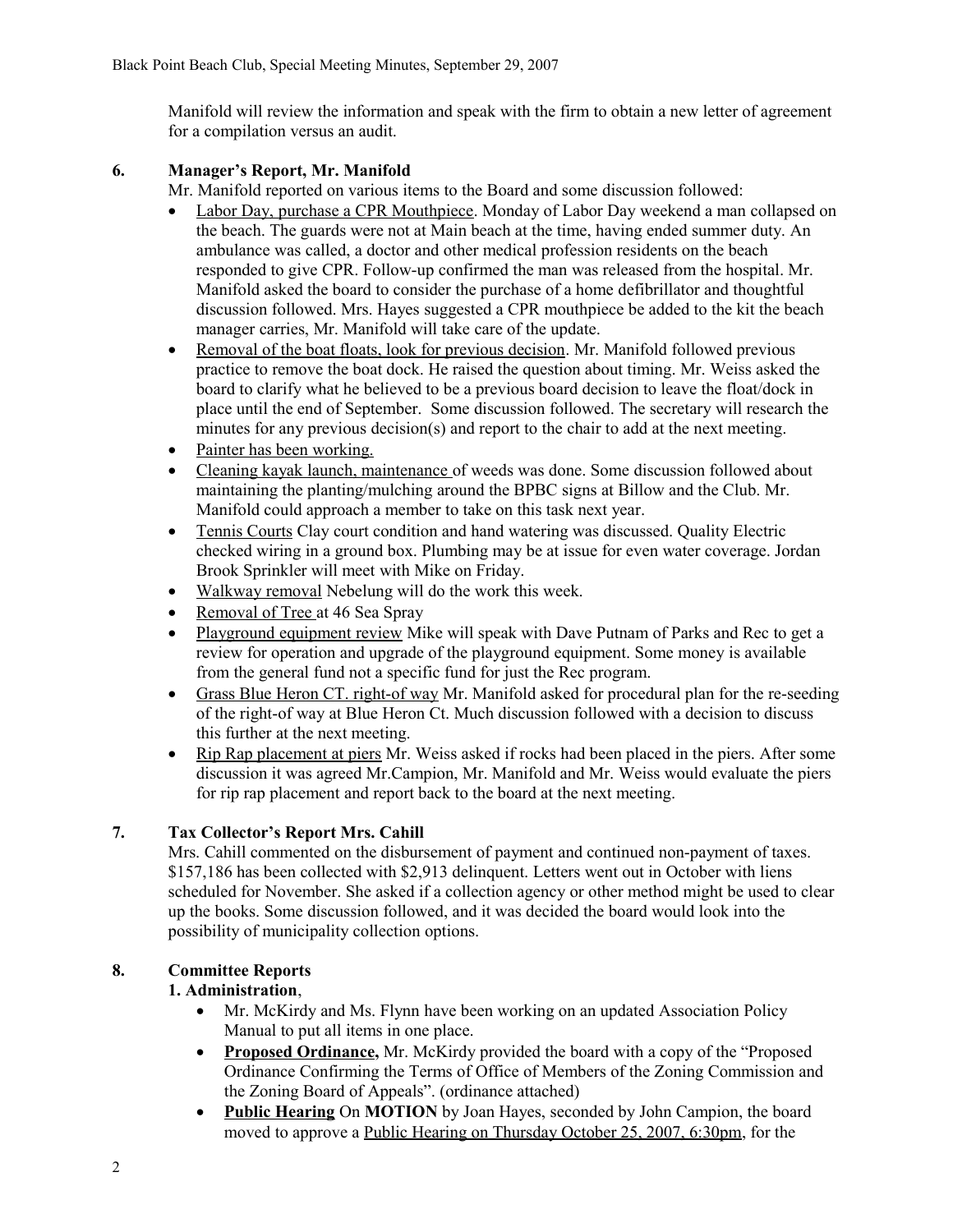Manifold will review the information and speak with the firm to obtain a new letter of agreement for a compilation versus an audit.

# **6. Manager's Report, Mr. Manifold**

Mr. Manifold reported on various items to the Board and some discussion followed:

- Labor Day, purchase a CPR Mouthpiece. Monday of Labor Day weekend a man collapsed on the beach. The guards were not at Main beach at the time, having ended summer duty. An ambulance was called, a doctor and other medical profession residents on the beach responded to give CPR. Follow-up confirmed the man was released from the hospital. Mr. Manifold asked the board to consider the purchase of a home defibrillator and thoughtful discussion followed. Mrs. Hayes suggested a CPR mouthpiece be added to the kit the beach manager carries, Mr. Manifold will take care of the update.
- Removal of the boat floats, look for previous decision. Mr. Manifold followed previous practice to remove the boat dock. He raised the question about timing. Mr. Weiss asked the board to clarify what he believed to be a previous board decision to leave the float/dock in place until the end of September. Some discussion followed. The secretary will research the minutes for any previous decision(s) and report to the chair to add at the next meeting.
- Painter has been working.
- Cleaning kayak launch, maintenance of weeds was done. Some discussion followed about maintaining the planting/mulching around the BPBC signs at Billow and the Club. Mr. Manifold could approach a member to take on this task next year.
- Tennis Courts Clay court condition and hand watering was discussed. Quality Electric checked wiring in a ground box. Plumbing may be at issue for even water coverage. Jordan Brook Sprinkler will meet with Mike on Friday.
- Walkway removal Nebelung will do the work this week.
- Removal of Tree at 46 Sea Spray
- Playground equipment review Mike will speak with Dave Putnam of Parks and Rec to get a review for operation and upgrade of the playground equipment. Some money is available from the general fund not a specific fund for just the Rec program.
- Grass Blue Heron CT. right-of way Mr. Manifold asked for procedural plan for the re-seeding of the right-of way at Blue Heron Ct. Much discussion followed with a decision to discuss this further at the next meeting.
- Rip Rap placement at piers Mr. Weiss asked if rocks had been placed in the piers. After some discussion it was agreed Mr.Campion, Mr. Manifold and Mr. Weiss would evaluate the piers for rip rap placement and report back to the board at the next meeting.

# **7. Tax Collector's Report Mrs. Cahill**

Mrs. Cahill commented on the disbursement of payment and continued non-payment of taxes. \$157,186 has been collected with \$2,913 delinquent. Letters went out in October with liens scheduled for November. She asked if a collection agency or other method might be used to clear up the books. Some discussion followed, and it was decided the board would look into the possibility of municipality collection options.

# **8. Committee Reports**

# **1. Administration**,

- Mr. McKirdy and Ms. Flynn have been working on an updated Association Policy Manual to put all items in one place.
- **Proposed Ordinance,** Mr. McKirdy provided the board with a copy of the "Proposed Ordinance Confirming the Terms of Office of Members of the Zoning Commission and the Zoning Board of Appeals". (ordinance attached)
- **Public Hearing** On **MOTION** by Joan Hayes, seconded by John Campion, the board moved to approve a Public Hearing on Thursday October 25, 2007, 6:30pm, for the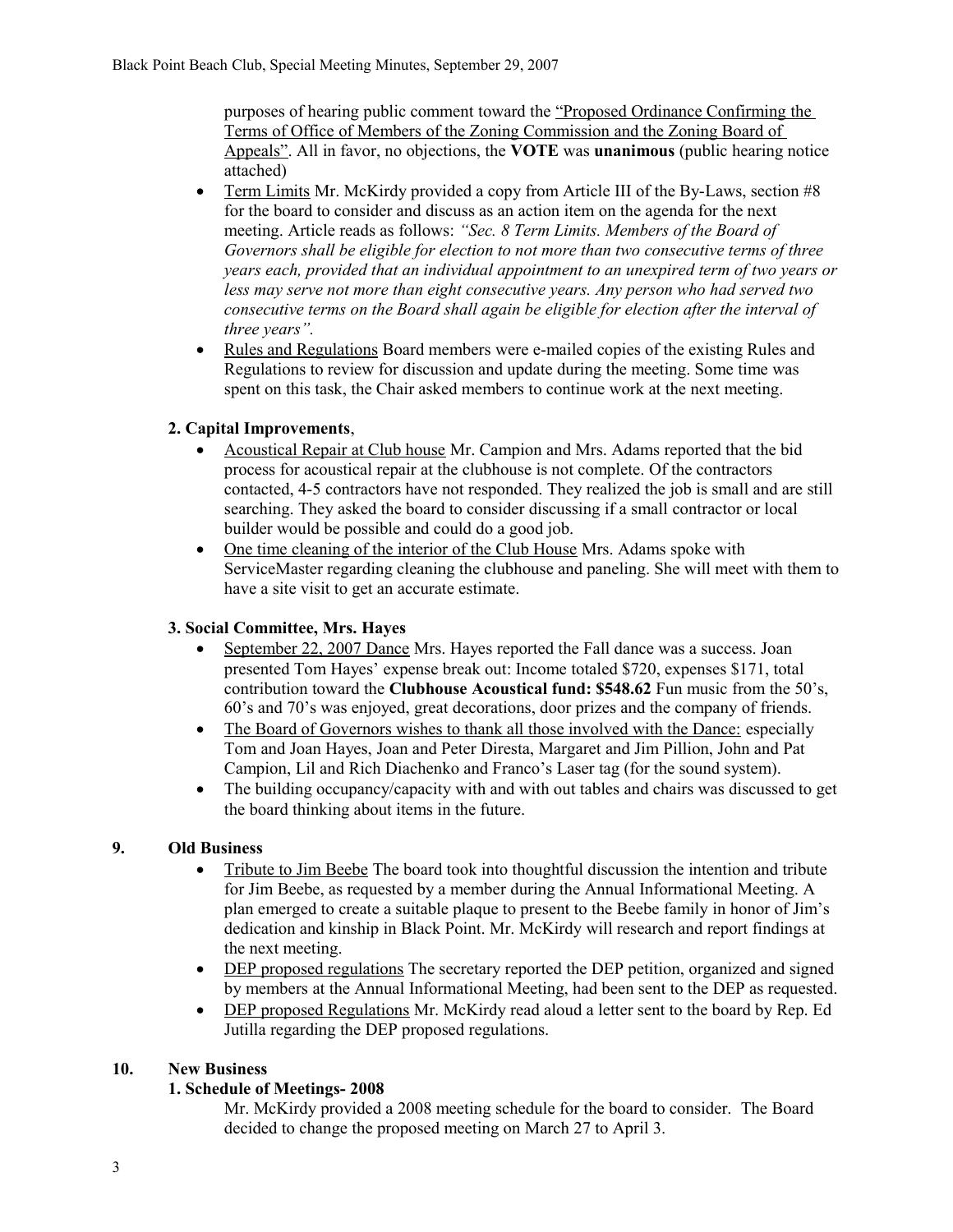purposes of hearing public comment toward the "Proposed Ordinance Confirming the Terms of Office of Members of the Zoning Commission and the Zoning Board of Appeals". All in favor, no objections, the **VOTE** was **unanimous** (public hearing notice attached)

- Term Limits Mr. McKirdy provided a copy from Article III of the By-Laws, section #8 for the board to consider and discuss as an action item on the agenda for the next meeting. Article reads as follows: *"Sec. 8 Term Limits. Members of the Board of Governors shall be eligible for election to not more than two consecutive terms of three years each, provided that an individual appointment to an unexpired term of two years or less may serve not more than eight consecutive years. Any person who had served two consecutive terms on the Board shall again be eligible for election after the interval of three years".*
- Rules and Regulations Board members were e-mailed copies of the existing Rules and Regulations to review for discussion and update during the meeting. Some time was spent on this task, the Chair asked members to continue work at the next meeting.

# **2. Capital Improvements**,

- Acoustical Repair at Club house Mr. Campion and Mrs. Adams reported that the bid process for acoustical repair at the clubhouse is not complete. Of the contractors contacted, 4-5 contractors have not responded. They realized the job is small and are still searching. They asked the board to consider discussing if a small contractor or local builder would be possible and could do a good job.
- One time cleaning of the interior of the Club House Mrs. Adams spoke with ServiceMaster regarding cleaning the clubhouse and paneling. She will meet with them to have a site visit to get an accurate estimate.

# **3. Social Committee, Mrs. Hayes**

- September 22, 2007 Dance Mrs. Hayes reported the Fall dance was a success. Joan presented Tom Hayes' expense break out: Income totaled \$720, expenses \$171, total contribution toward the **Clubhouse Acoustical fund: \$548.62** Fun music from the 50's, 60's and 70's was enjoyed, great decorations, door prizes and the company of friends.
- The Board of Governors wishes to thank all those involved with the Dance: especially Tom and Joan Hayes, Joan and Peter Diresta, Margaret and Jim Pillion, John and Pat Campion, Lil and Rich Diachenko and Franco's Laser tag (for the sound system).
- The building occupancy/capacity with and with out tables and chairs was discussed to get the board thinking about items in the future.

# **9. Old Business**

- Tribute to Jim Beebe The board took into thoughtful discussion the intention and tribute for Jim Beebe, as requested by a member during the Annual Informational Meeting. A plan emerged to create a suitable plaque to present to the Beebe family in honor of Jim's dedication and kinship in Black Point. Mr. McKirdy will research and report findings at the next meeting.
- DEP proposed regulations The secretary reported the DEP petition, organized and signed by members at the Annual Informational Meeting, had been sent to the DEP as requested.
- DEP proposed Regulations Mr. McKirdy read aloud a letter sent to the board by Rep. Ed Jutilla regarding the DEP proposed regulations.

### **10. New Business**

# **1. Schedule of Meetings- 2008**

Mr. McKirdy provided a 2008 meeting schedule for the board to consider. The Board decided to change the proposed meeting on March 27 to April 3.